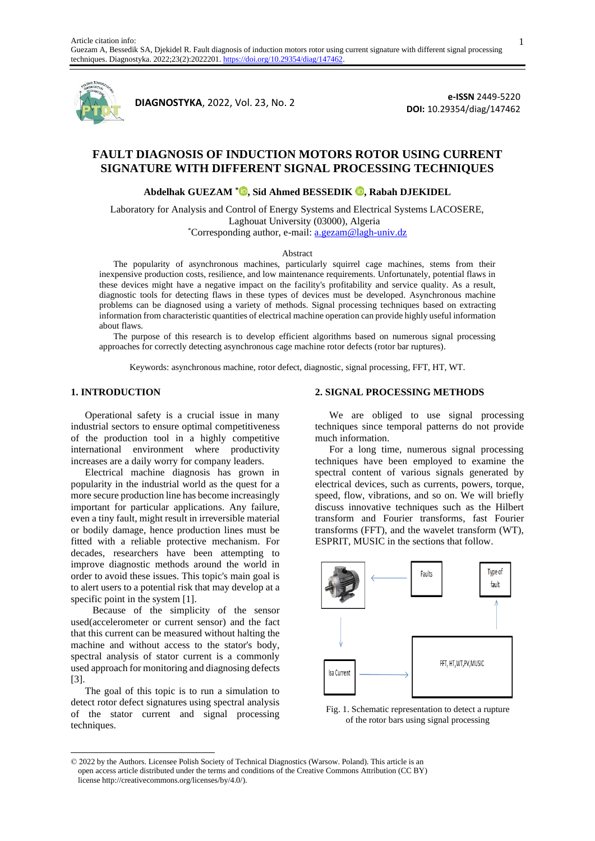

**<sup>1</sup>DIAGNOSTYKA**, 2022, Vol. 23, No. 2

**e-ISSN** 2449-5220 **DOI:** 10.29354/diag/147462

# **FAULT DIAGNOSIS OF INDUCTION MOTORS ROTOR USING CURRENT SIGNATURE WITH DIFFERENT SIGNAL PROCESSING TECHNIQUES**

**Abdelhak GUEZAM \* [,](https://orcid.org/0000-0001-9189-4529) Sid Ahmed BESSEDIK, Rabah DJEKIDEL**

Laboratory for Analysis and Control of Energy Systems and Electrical Systems LACOSERE, Laghouat University (03000), Algeria \*Corresponding author, e-mail: a.gezam@lagh-univ.dz

#### Abstract

The popularity of asynchronous machines, particularly squirrel cage machines, stems from their inexpensive production costs, resilience, and low maintenance requirements. Unfortunately, potential flaws in these devices might have a negative impact on the facility's profitability and service quality. As a result, diagnostic tools for detecting flaws in these types of devices must be developed. Asynchronous machine problems can be diagnosed using a variety of methods. Signal processing techniques based on extracting information from characteristic quantities of electrical machine operation can provide highly useful information about flaws.

The purpose of this research is to develop efficient algorithms based on numerous signal processing approaches for correctly detecting asynchronous cage machine rotor defects (rotor bar ruptures).

Keywords: asynchronous machine, rotor defect, diagnostic, signal processing, FFT, HT, WT.

### **1. INTRODUCTION**

Operational safety is a crucial issue in many industrial sectors to ensure optimal competitiveness of the production tool in a highly competitive international environment where productivity increases are a daily worry for company leaders.

Electrical machine diagnosis has grown in popularity in the industrial world as the quest for a more secure production line has become increasingly important for particular applications. Any failure, even a tiny fault, might result in irreversible material or bodily damage, hence production lines must be fitted with a reliable protective mechanism. For decades, researchers have been attempting to improve diagnostic methods around the world in order to avoid these issues. This topic's main goal is to alert users to a potential risk that may develop at a specific point in the system [1].

 Because of the simplicity of the sensor used(accelerometer or current sensor) and the fact that this current can be measured without halting the machine and without access to the stator's body, spectral analysis of stator current is a commonly used approach for monitoring and diagnosing defects [3].

The goal of this topic is to run a simulation to detect rotor defect signatures using spectral analysis of the stator current and signal processing techniques.

#### **2. SIGNAL PROCESSING METHODS**

We are obliged to use signal processing techniques since temporal patterns do not provide much information.

For a long time, numerous signal processing techniques have been employed to examine the spectral content of various signals generated by electrical devices, such as currents, powers, torque, speed, flow, vibrations, and so on. We will briefly discuss innovative techniques such as the Hilbert transform and Fourier transforms, fast Fourier transforms (FFT), and the wavelet transform (WT), ESPRIT, MUSIC in the sections that follow.



Fig. 1. Schematic representation to detect a rupture of the rotor bars using signal processing

1

<sup>© 2022</sup> by the Authors. Licensee Polish Society of Technical Diagnostics (Warsow. Poland). This article is an open access article distributed under the terms and conditions of the Creative Commons Attribution (CC BY) license http://creativecommons.org/licenses/by/4.0/).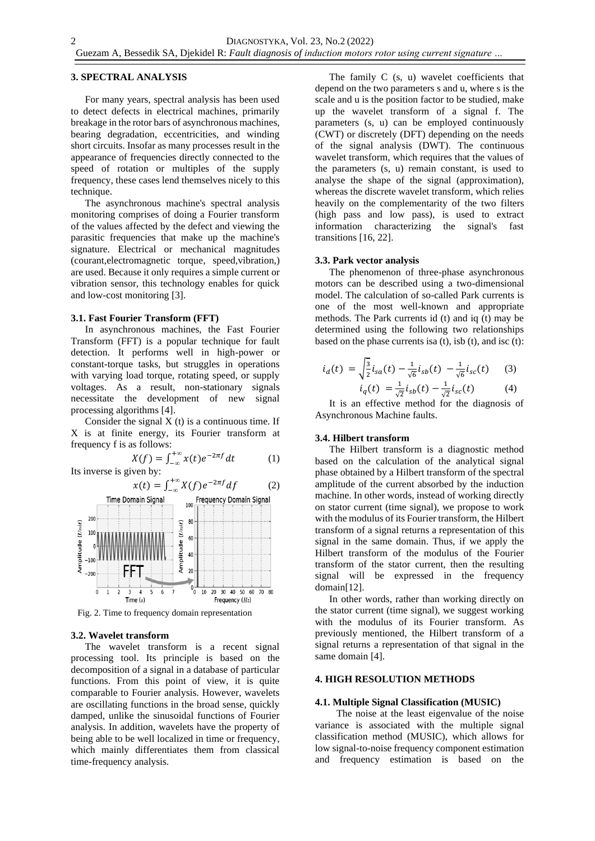### **3. SPECTRAL ANALYSIS**

For many years, spectral analysis has been used to detect defects in electrical machines, primarily breakage in the rotor bars of asynchronous machines, bearing degradation, eccentricities, and winding short circuits. Insofar as many processes result in the appearance of frequencies directly connected to the speed of rotation or multiples of the supply frequency, these cases lend themselves nicely to this technique.

The asynchronous machine's spectral analysis monitoring comprises of doing a Fourier transform of the values affected by the defect and viewing the parasitic frequencies that make up the machine's signature. Electrical or mechanical magnitudes (courant,electromagnetic torque, speed,vibration,) are used. Because it only requires a simple current or vibration sensor, this technology enables for quick and low-cost monitoring [3].

# **3.1. Fast Fourier Transform (FFT)**

In asynchronous machines, the Fast Fourier Transform (FFT) is a popular technique for fault detection. It performs well in high-power or constant-torque tasks, but struggles in operations with varying load torque, rotating speed, or supply voltages. As a result, non-stationary signals necessitate the development of new signal processing algorithms [4].

Consider the signal  $X(t)$  is a continuous time. If X is at finite energy, its Fourier transform at frequency f is as follows:

$$
X(f) = \int_{-\infty}^{+\infty} x(t)e^{-2\pi f} dt
$$
 (1)

Its inverse is given by:



Fig. 2. Time to frequency domain representation

#### **3.2. Wavelet transform**

The wavelet transform is a recent signal processing tool. Its principle is based on the decomposition of a signal in a database of particular functions. From this point of view, it is quite comparable to Fourier analysis. However, wavelets are oscillating functions in the broad sense, quickly damped, unlike the sinusoidal functions of Fourier analysis. In addition, wavelets have the property of being able to be well localized in time or frequency, which mainly differentiates them from classical time-frequency analysis.

The family C (s, u) wavelet coefficients that depend on the two parameters s and u, where s is the scale and u is the position factor to be studied, make up the wavelet transform of a signal f. The parameters (s, u) can be employed continuously (CWT) or discretely (DFT) depending on the needs of the signal analysis (DWT). The continuous wavelet transform, which requires that the values of the parameters (s, u) remain constant, is used to analyse the shape of the signal (approximation), whereas the discrete wavelet transform, which relies heavily on the complementarity of the two filters (high pass and low pass), is used to extract information characterizing the signal's fast transitions [16, 22].

### **3.3. Park vector analysis**

The phenomenon of three-phase asynchronous motors can be described using a two-dimensional model. The calculation of so-called Park currents is one of the most well-known and appropriate methods. The Park currents id (t) and iq (t) may be determined using the following two relationships based on the phase currents is a  $(t)$ , is  $b(t)$ , and isc  $(t)$ :

$$
i_d(t) = \sqrt{\frac{3}{2}} i_{sa}(t) - \frac{1}{\sqrt{6}} i_{sb}(t) - \frac{1}{\sqrt{6}} i_{sc}(t)
$$
 (3)  

$$
i_q(t) = \frac{1}{\sqrt{2}} i_{sb}(t) - \frac{1}{\sqrt{2}} i_{sc}(t)
$$
 (4)

It is an effective method for the diagnosis of Asynchronous Machine faults.

# **3.4. Hilbert transform**

The Hilbert transform is a diagnostic method based on the calculation of the analytical signal phase obtained by a Hilbert transform of the spectral amplitude of the current absorbed by the induction machine. In other words, instead of working directly on stator current (time signal), we propose to work with the modulus of its Fourier transform, the Hilbert transform of a signal returns a representation of this signal in the same domain. Thus, if we apply the Hilbert transform of the modulus of the Fourier transform of the stator current, then the resulting signal will be expressed in the frequency domain[12].

In other words, rather than working directly on the stator current (time signal), we suggest working with the modulus of its Fourier transform. As previously mentioned, the Hilbert transform of a signal returns a representation of that signal in the same domain [4].

### **4. HIGH RESOLUTION METHODS**

#### **4.1. Multiple Signal Classification (MUSIC)**

The noise at the least eigenvalue of the noise variance is associated with the multiple signal classification method (MUSIC), which allows for low signal-to-noise frequency component estimation and frequency estimation is based on the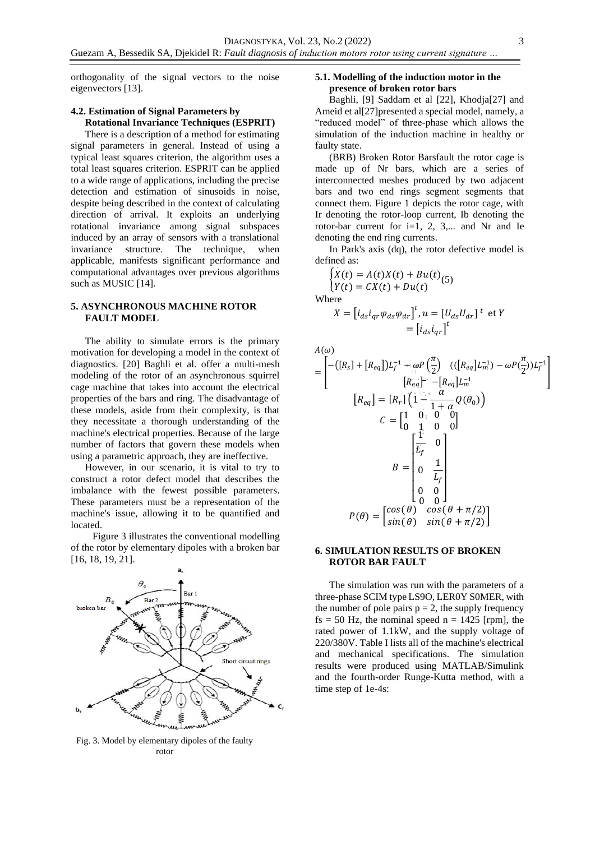orthogonality of the signal vectors to the noise eigenvectors [13].

# **4.2. Estimation of Signal Parameters by Rotational Invariance Techniques (ESPRIT)**

There is a description of a method for estimating signal parameters in general. Instead of using a typical least squares criterion, the algorithm uses a total least squares criterion. ESPRIT can be applied to a wide range of applications, including the precise detection and estimation of sinusoids in noise, despite being described in the context of calculating direction of arrival. It exploits an underlying rotational invariance among signal subspaces induced by an array of sensors with a translational invariance structure. The technique, when applicable, manifests significant performance and computational advantages over previous algorithms such as MUSIC [14].

# **5. ASYNCHRONOUS MACHINE ROTOR FAULT MODEL**

The ability to simulate errors is the primary motivation for developing a model in the context of diagnostics. [20] Baghli et al. offer a multi-mesh modeling of the rotor of an asynchronous squirrel cage machine that takes into account the electrical properties of the bars and ring. The disadvantage of these models, aside from their complexity, is that they necessitate a thorough understanding of the machine's electrical properties. Because of the large number of factors that govern these models when using a parametric approach, they are ineffective.

However, in our scenario, it is vital to try to construct a rotor defect model that describes the imbalance with the fewest possible parameters. These parameters must be a representation of the machine's issue, allowing it to be quantified and located.

 Figure 3 illustrates the conventional modelling of the rotor by elementary dipoles with a broken bar [16, 18, 19, 21].



Fig. 3. Model by elementary dipoles of the faulty rotor

# **5.1. Modelling of the induction motor in the presence of broken rotor bars**

Baghli, [9] Saddam et al [22], Khodja[27] and Ameid et al[27]presented a special model, namely, a "reduced model" of three-phase which allows the simulation of the induction machine in healthy or faulty state.

(BRB) Broken Rotor Barsfault the rotor cage is made up of Nr bars, which are a series of interconnected meshes produced by two adjacent bars and two end rings segment segments that connect them. Figure 1 depicts the rotor cage, with Ir denoting the rotor-loop current, Ib denoting the rotor-bar current for  $i=1, 2, 3,...$  and Nr and Ie denoting the end ring currents.

In Park's axis (dq), the rotor defective model is defined as: .

$$
\begin{cases}\n\dot{X}(t) = A(t)\dot{X}(t) + Bu(t) \\
Y(t) = CX(t) + Du(t)\n\end{cases}
$$

Where

 $(1)$ 

$$
X = \begin{bmatrix} i_{ds} i_{qr} \varphi_{ds} \varphi_{dr} \end{bmatrix}^t, u = \begin{bmatrix} U_{ds} U_{dr} \end{bmatrix}^t \text{ et } Y
$$

$$
= \begin{bmatrix} i_{ds} i_{qr} \end{bmatrix}^t
$$

$$
= \begin{bmatrix} -\left( [R_s] + [R_{eq}] \right) L_f^{-1} + \omega P \left( \frac{\pi}{2} \right) & \left( ([R_{eq}] L_m^{-1}) - \omega P \left( \frac{\pi}{2} \right) L_f^{-1} \right) \\ \left[ R_{eq} \right] - \left[ R_{eq} \right] L_m^{-1} & \left( \frac{\pi}{2} \right) L_m^{-1} \end{bmatrix}
$$
\n
$$
[R_{eq}] = [R_r] \begin{bmatrix} 1 - \omega & \omega & \omega \\ 1 - \omega & \omega & \omega \\ 0 & 1 - \omega & 0 \\ 0 & 0 & 0 \end{bmatrix}
$$
\n
$$
B = \begin{bmatrix} \frac{1}{L_f} & 0 & 0 \\ 0 & \frac{1}{L_f} & 0 \\ 0 & 0 & 0 \\ 0 & 0 & 0 \end{bmatrix}
$$
\n
$$
P(\theta) = \begin{bmatrix} \cos(\theta) & \cos(\theta + \pi/2) \\ \sin(\theta) & \sin(\theta + \pi/2) \end{bmatrix}
$$

# **6. SIMULATION RESULTS OF BROKEN ROTOR BAR FAULT**

The simulation was run with the parameters of a three-phase SCIM type LS9O, LER0Y S0MER, with the number of pole pairs  $p = 2$ , the supply frequency  $fs = 50$  Hz, the nominal speed  $n = 1425$  [rpm], the rated power of 1.1kW, and the supply voltage of 220/380V. Table I lists all of the machine's electrical and mechanical specifications. The simulation results were produced using MATLAB/Simulink and the fourth-order Runge-Kutta method, with a time step of 1e-4s: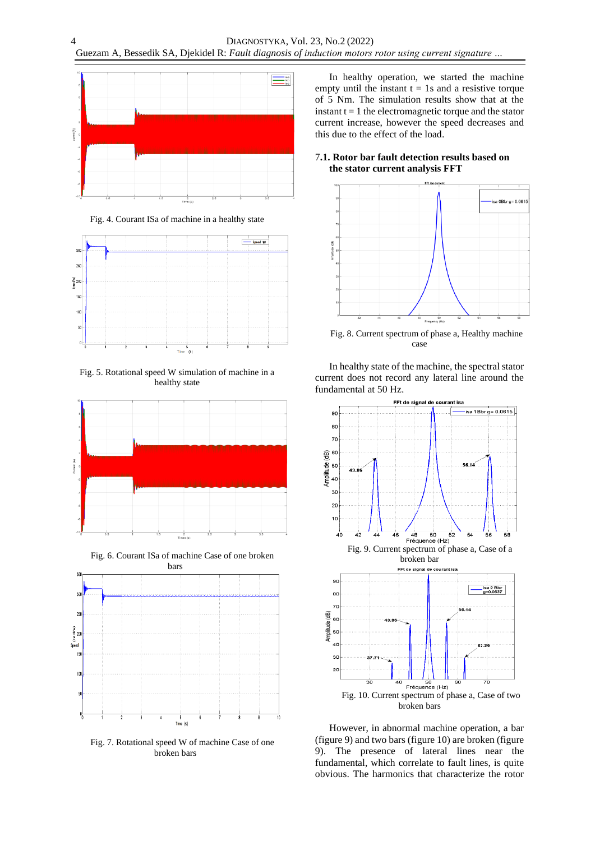

Fig. 4. Courant ISa of machine in a healthy state



Fig. 5. Rotational speed W simulation of machine in a healthy state



Fig. 6. Courant ISa of machine Case of one broken



Fig. 7. Rotational speed W of machine Case of one broken bars

In healthy operation, we started the machine empty until the instant  $t = 1s$  and a resistive torque of 5 Nm. The simulation results show that at the instant  $t = 1$  the electromagnetic torque and the stator current increase, however the speed decreases and this due to the effect of the load.

# 7**.1. Rotor bar fault detection results based on the stator current analysis FFT**



Fig. 8. Current spectrum of phase a, Healthy machine case

In healthy state of the machine, the spectral stator current does not record any lateral line around the fundamental at 50 Hz.



However, in abnormal machine operation, a bar (figure 9) and two bars (figure 10) are broken (figure 9). The presence of lateral lines near the fundamental, which correlate to fault lines, is quite obvious. The harmonics that characterize the rotor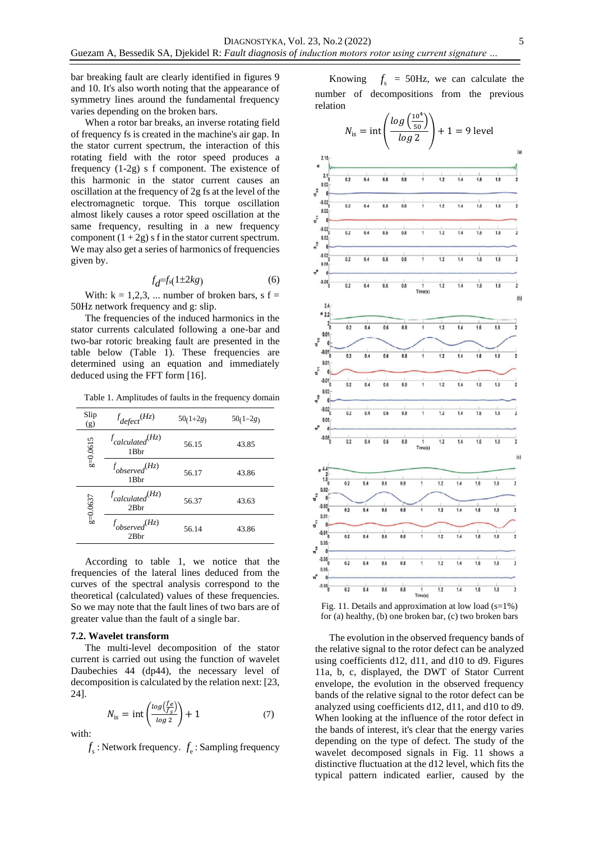bar breaking fault are clearly identified in figures 9 and 10. It's also worth noting that the appearance of symmetry lines around the fundamental frequency varies depending on the broken bars.

When a rotor bar breaks, an inverse rotating field of frequency fs is created in the machine's air gap. In the stator current spectrum, the interaction of this rotating field with the rotor speed produces a frequency (1-2g) s f component. The existence of this harmonic in the stator current causes an oscillation at the frequency of 2g fs at the level of the electromagnetic torque. This torque oscillation almost likely causes a rotor speed oscillation at the same frequency, resulting in a new frequency component  $(1 + 2g)$  s f in the stator current spectrum. We may also get a series of harmonics of frequencies given by.

$$
f_d = f_s(1 \pm 2kg) \tag{6}
$$

With:  $k = 1,2,3, \ldots$  number of broken bars, s f = 50Hz network frequency and g: slip.

The frequencies of the induced harmonics in the stator currents calculated following a one-bar and two-bar rotoric breaking fault are presented in the table below (Table 1). These frequencies are determined using an equation and immediately deduced using the FFT form [16].

Table 1. Amplitudes of faults in the frequency domain

| Slip<br>(g) | $f_{defect}(Hz)$                            | $50(1+2g)$ | $50(1-2g)$ |
|-------------|---------------------------------------------|------------|------------|
| $g=0.0615$  | $f_{calculated}$ $(Hz)$<br>1 <sub>Bhr</sub> | 56.15      | 43.85      |
|             | $f_{observed}(Hz)$<br>1Bbr                  | 56.17      | 43.86      |
| $g=0.0637$  | $f_{calculated}$ $(Hz)$<br>2Bhr             | 56.37      | 43.63      |
|             | $f_{observed}(Hz)$<br>2Bhr                  | 56.14      | 43.86      |

According to table 1, we notice that the frequencies of the lateral lines deduced from the curves of the spectral analysis correspond to the theoretical (calculated) values of these frequencies. So we may note that the fault lines of two bars are of greater value than the fault of a single bar.

#### **7.2. Wavelet transform**

The multi-level decomposition of the stator current is carried out using the function of wavelet Daubechies 44 (dp44), the necessary level of decomposition is calculated by the relation next: [23, 24].

$$
N_{\rm is} = \text{int}\left(\frac{\log\left(\frac{f_e}{f_S}\right)}{\log 2}\right) + 1\tag{7}
$$

with:

 $f_s$ : Network frequency.  $f_e$ : Sampling frequency

Knowing  $f<sub>s</sub>$  = 50Hz, we can calculate the number of decompositions from the previous relation



Fig. 11. Details and approximation at low load  $(s=1\%)$ for (a) healthy, (b) one broken bar, (c) two broken bars

The evolution in the observed frequency bands of the relative signal to the rotor defect can be analyzed using coefficients d12, d11, and d10 to d9. Figures 11a, b, c, displayed, the DWT of Stator Current envelope, the evolution in the observed frequency bands of the relative signal to the rotor defect can be analyzed using coefficients d12, d11, and d10 to d9. When looking at the influence of the rotor defect in the bands of interest, it's clear that the energy varies depending on the type of defect. The study of the wavelet decomposed signals in Fig. 11 shows a distinctive fluctuation at the d12 level, which fits the typical pattern indicated earlier, caused by the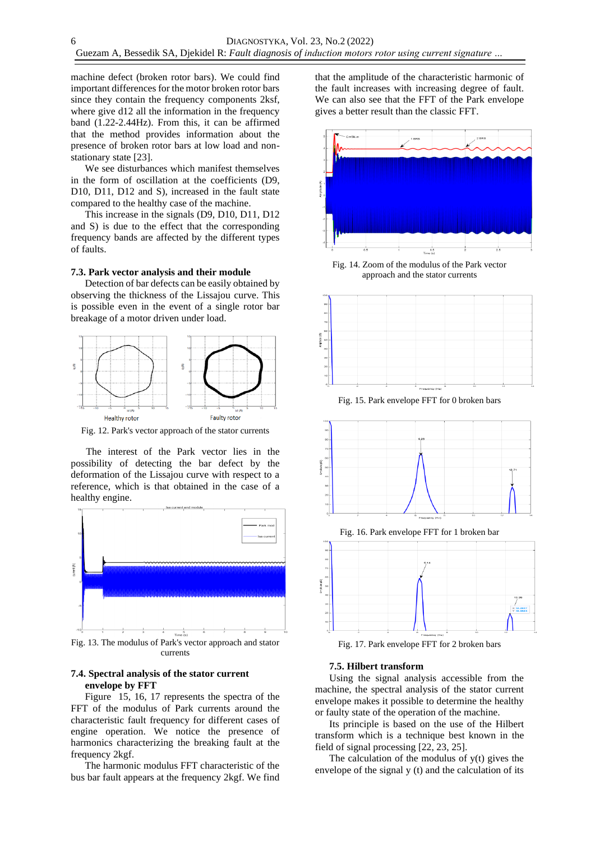machine defect (broken rotor bars). We could find important differences for the motor broken rotor bars since they contain the frequency components 2ksf, where give d12 all the information in the frequency band (1.22-2.44Hz). From this, it can be affirmed that the method provides information about the presence of broken rotor bars at low load and nonstationary state [23].

We see disturbances which manifest themselves in the form of oscillation at the coefficients (D9, D10, D11, D12 and S), increased in the fault state compared to the healthy case of the machine.

This increase in the signals (D9, D10, D11, D12 and S) is due to the effect that the corresponding frequency bands are affected by the different types of faults.

### **7.3. Park vector analysis and their module**

Detection of bar defects can be easily obtained by observing the thickness of the Lissajou curve. This is possible even in the event of a single rotor bar breakage of a motor driven under load.



Fig. 12. Park's vector approach of the stator currents

 The interest of the Park vector lies in the possibility of detecting the bar defect by the deformation of the Lissajou curve with respect to a reference, which is that obtained in the case of a healthy engine.



currents

# **7.4. Spectral analysis of the stator current envelope by FFT**

Figure 15, 16, 17 represents the spectra of the FFT of the modulus of Park currents around the characteristic fault frequency for different cases of engine operation. We notice the presence of harmonics characterizing the breaking fault at the frequency 2kgf.

The harmonic modulus FFT characteristic of the bus bar fault appears at the frequency 2kgf. We find that the amplitude of the characteristic harmonic of the fault increases with increasing degree of fault. We can also see that the FFT of the Park envelope gives a better result than the classic FFT.



Fig. 14. Zoom of the modulus of the Park vector approach and the stator currents



Fig. 15. Park envelope FFT for 0 broken bars





Fig. 17. Park envelope FFT for 2 broken bars

#### **7.5. Hilbert transform**

Using the signal analysis accessible from the machine, the spectral analysis of the stator current envelope makes it possible to determine the healthy or faulty state of the operation of the machine.

Its principle is based on the use of the Hilbert transform which is a technique best known in the field of signal processing [22, 23, 25].

The calculation of the modulus of  $y(t)$  gives the envelope of the signal y (t) and the calculation of its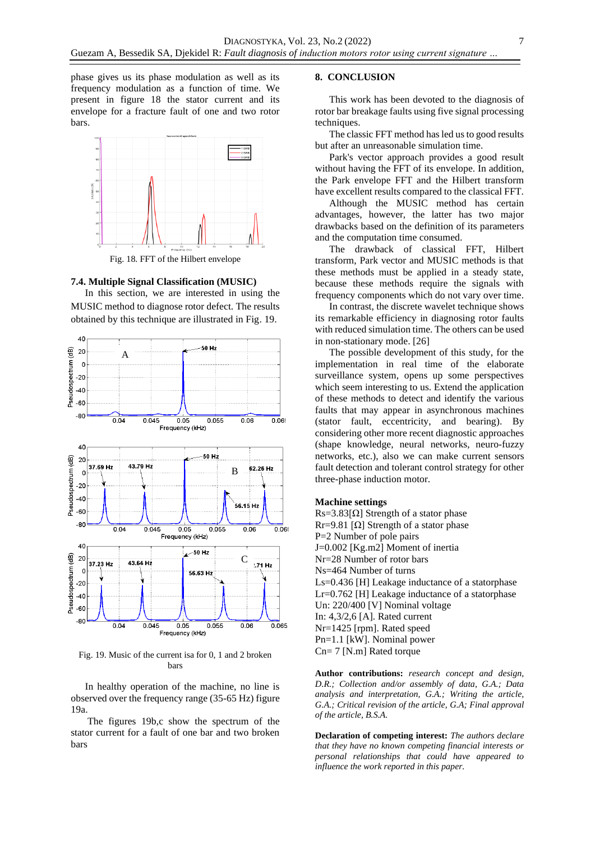phase gives us its phase modulation as well as its frequency modulation as a function of time. We present in figure 18 the stator current and its envelope for a fracture fault of one and two rotor bars.



Fig. 18. FFT of the Hilbert envelope

#### **7.4. Multiple Signal Classification (MUSIC)**

In this section, we are interested in using the MUSIC method to diagnose rotor defect. The results obtained by this technique are illustrated in Fig. 19.



Fig. 19. Music of the current isa for 0, 1 and 2 broken bars

In healthy operation of the machine, no line is observed over the frequency range (35-65 Hz) figure 19a.

The figures 19b,c show the spectrum of the stator current for a fault of one bar and two broken bars

### **8. CONCLUSION**

This work has been devoted to the diagnosis of rotor bar breakage faults using five signal processing techniques.

The classic FFT method has led us to good results but after an unreasonable simulation time.

Park's vector approach provides a good result without having the FFT of its envelope. In addition, the Park envelope FFT and the Hilbert transform have excellent results compared to the classical FFT.

Although the MUSIC method has certain advantages, however, the latter has two major drawbacks based on the definition of its parameters and the computation time consumed.

The drawback of classical FFT, Hilbert transform, Park vector and MUSIC methods is that these methods must be applied in a steady state, because these methods require the signals with frequency components which do not vary over time.

In contrast, the discrete wavelet technique shows its remarkable efficiency in diagnosing rotor faults with reduced simulation time. The others can be used in non-stationary mode. [26]

The possible development of this study, for the implementation in real time of the elaborate surveillance system, opens up some perspectives which seem interesting to us. Extend the application of these methods to detect and identify the various faults that may appear in asynchronous machines (stator fault, eccentricity, and bearing). By considering other more recent diagnostic approaches (shape knowledge, neural networks, neuro-fuzzy networks, etc.), also we can make current sensors fault detection and tolerant control strategy for other three-phase induction motor.

### **Machine settings**

Rs=3.83[ $\Omega$ ] Strength of a stator phase Rr=9.81 [Ω] Strength of a stator phase P=2 Number of pole pairs J=0.002 [Kg.m2] Moment of inertia Nr=28 Number of rotor bars Ns=464 Number of turns Ls=0.436 [H] Leakage inductance of a statorphase Lr=0.762 [H] Leakage inductance of a statorphase Un: 220/400 [V] Nominal voltage In: 4,3/2,6 [A]. Rated current Nr=1425 [rpm]. Rated speed Pn=1.1 [kW]. Nominal power Cn= 7 [N.m] Rated torque

**Author contributions:** *research concept and design, D.R.; Collection and/or assembly of data, G.A.; Data analysis and interpretation, G.A.; Writing the article, G.A.; Critical revision of the article, G.A; Final approval of the article, B.S.A.*

**Declaration of competing interest:** *The authors declare that they have no known competing financial interests or personal relationships that could have appeared to influence the work reported in this paper.*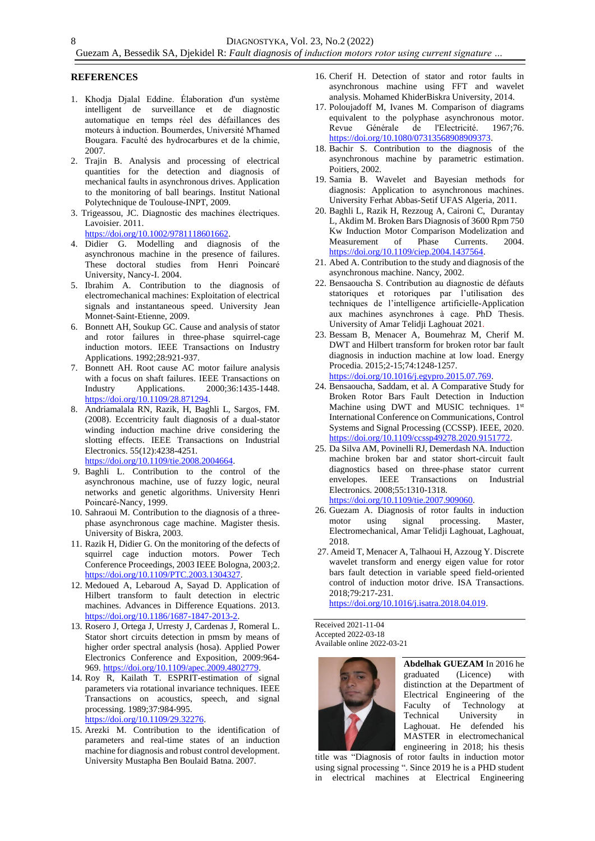### **REFERENCES**

- 1. Khodja Djalal Eddine. Élaboration d'un système intelligent de surveillance et de diagnostic automatique en temps réel des défaillances des moteurs à induction. Boumerdes, Université M'hamed Bougara. Faculté des hydrocarbures et de la chimie, 2007.
- 2. Trajin B. Analysis and processing of electrical quantities for the detection and diagnosis of mechanical faults in asynchronous drives. Application to the monitoring of ball bearings. Institut National Polytechnique de Toulouse-INPT, 2009.
- 3. Trigeassou, JC. Diagnostic des machines électriques. Lavoisier. 2011. [https://doi.org/10.1002/9781118601662.](https://doi.org/10.1002/9781118601662)
- 4. Didier G. Modelling and diagnosis of the asynchronous machine in the presence of failures. These doctoral studies from Henri Poincaré University, Nancy-I. 2004.
- 5. Ibrahim A. Contribution to the diagnosis of electromechanical machines: Exploitation of electrical signals and instantaneous speed. University Jean Monnet-Saint-Etienne, 2009.
- 6. Bonnett AH, Soukup GC. Cause and analysis of stator and rotor failures in three-phase squirrel-cage induction motors. IEEE Transactions on Industry Applications. 1992;28:921-937.
- 7. Bonnett AH. Root cause AC motor failure analysis with a focus on shaft failures. IEEE Transactions on Industry Applications. 2000;36:1435-1448. [https://doi.org/10.1109/28.871294.](https://doi.org/10.1109/28.871294)
- 8. Andriamalala RN, Razik, H, Baghli L, Sargos, FM. (2008). Eccentricity fault diagnosis of a dual-stator winding induction machine drive considering the slotting effects. IEEE Transactions on Industrial Electronics. 55(12):4238-4251. [https://doi.org/10.1109/tie.2008.2004664.](https://doi.org/10.1109/tie.2008.2004664)
- 9. Baghli L. Contribution to the control of the asynchronous machine, use of fuzzy logic, neural networks and genetic algorithms. University Henri Poincaré-Nancy, 1999.
- 10. Sahraoui M. Contribution to the diagnosis of a threephase asynchronous cage machine. Magister thesis. University of Biskra, 2003.
- 11. Razik H, Didier G. On the monitoring of the defects of squirrel cage induction motors. Power Tech Conference Proceedings, 2003 IEEE Bologna, 2003;2. [https://doi.org/10.1109/PTC.2003.1304327.](https://doi.org/10.1109/PTC.2003.1304327)
- 12. Medoued A, Lebaroud A, Sayad D. Application of Hilbert transform to fault detection in electric machines. Advances in Difference Equations. 2013. [https://doi.org/10.1186/1687-1847-2013-2.](https://doi.org/10.1186/1687-1847-2013-2)
- 13. Rosero J, Ortega J, Urresty J, Cardenas J, Romeral L. Stator short circuits detection in pmsm by means of higher order spectral analysis (hosa). Applied Power Electronics Conference and Exposition, 2009:964- 969. [https://doi.org/10.1109/apec.2009.4802779.](https://doi.org/10.1109/apec.2009.4802779)
- 14. Roy R, Kailath T. ESPRIT-estimation of signal parameters via rotational invariance techniques. IEEE Transactions on acoustics, speech, and signal processing. 1989;37:984-995. [https://doi.org/10.1109/29.32276.](https://doi.org/10.1109/29.32276)
- 15. Arezki M. Contribution to the identification of parameters and real-time states of an induction machine for diagnosis and robust control development. University Mustapha Ben Boulaid Batna. 2007.
- 16. Cherif H. Detection of stator and rotor faults in asynchronous machine using FFT and wavelet analysis. Mohamed KhiderBiskra University, 2014.
- 17. Poloujadoff M, Ivanes M. Comparison of diagrams equivalent to the polyphase asynchronous motor. Revue Générale de l'Electricité. 1967;76. [https://doi.org/10.1080/07313568908909373.](https://doi.org/10.1080/07313568908909373)
- 18. Bachir S. Contribution to the diagnosis of the asynchronous machine by parametric estimation. Poitiers, 2002.
- 19. Samia B. Wavelet and Bayesian methods for diagnosis: Application to asynchronous machines. University Ferhat Abbas-Setif UFAS Algeria, 2011.
- 20. Baghli L, Razik H, Rezzoug A, Caironi C, Durantay L, Akdim M. Broken Bars Diagnosis of 3600 Rpm 750 Kw Induction Motor Comparison Modelization and Measurement of Phase Currents. 2004. [https://doi.org/10.1109/ciep.2004.1437564.](https://doi.org/10.1109/ciep.2004.1437564)
- 21. Abed A. Contribution to the study and diagnosis of the asynchronous machine. Nancy, 2002.
- 22. Bensaoucha S. Contribution au diagnostic de défauts statoriques et rotoriques par l'utilisation des techniques de l'intelligence artificielle-Application aux machines asynchrones à cage. PhD Thesis. University of Amar Telidji Laghouat 2021.
- 23. Bessam B, Menacer A, Boumehraz M, Cherif M. DWT and Hilbert transform for broken rotor bar fault diagnosis in induction machine at low load. Energy Procedia. 2015;2-15;74:1248-1257. [https://doi.org/10.1016/j.egypro.2015.07.769.](https://doi.org/10.1016/j.egypro.2015.07.769)
- 24. Bensaoucha, Saddam, et al. A Comparative Study for Broken Rotor Bars Fault Detection in Induction Machine using DWT and MUSIC techniques. 1st International Conference on Communications, Control Systems and Signal Processing (CCSSP). IEEE, 2020. [https://doi.org/10.1109/ccssp49278.2020.9151772.](https://doi.org/10.1109/ccssp49278.2020.9151772)
- 25. Da Silva AM, Povinelli RJ, Demerdash NA. Induction machine broken bar and stator short-circuit fault diagnostics based on three-phase stator current envelopes. IEEE Transactions on Industrial Electronics. 2008;55:1310-1318. [https://doi.org/10.1109/tie.2007.909060.](https://doi.org/10.1109/tie.2007.909060)
- 26. Guezam A. Diagnosis of rotor faults in induction motor using signal processing. Master. using signal processing. Master, Electromechanical, Amar Telidji Laghouat, Laghouat, 2018.
- 27. Ameid T, Menacer A, Talhaoui H, Azzoug Y. Discrete wavelet transform and energy eigen value for rotor bars fault detection in variable speed field-oriented control of induction motor drive. ISA Transactions. 2018;79:217-231.

[https://doi.org/10.1016/j.isatra.2018.04.019.](https://doi.org/10.1016/j.isatra.2018.04.019)

Received 2021-11-04 Accepted 2022-03-18 Available online 2022-03-21



**Abdelhak GUEZAM** In 2016 he graduated (Licence) with distinction at the Department of Electrical Engineering of the Faculty of Technology at Technical University in Laghouat. He defended his MASTER in electromechanical engineering in 2018; his thesis

title was "Diagnosis of rotor faults in induction motor using signal processing ". Since 2019 he is a PHD student in electrical machines at Electrical Engineering